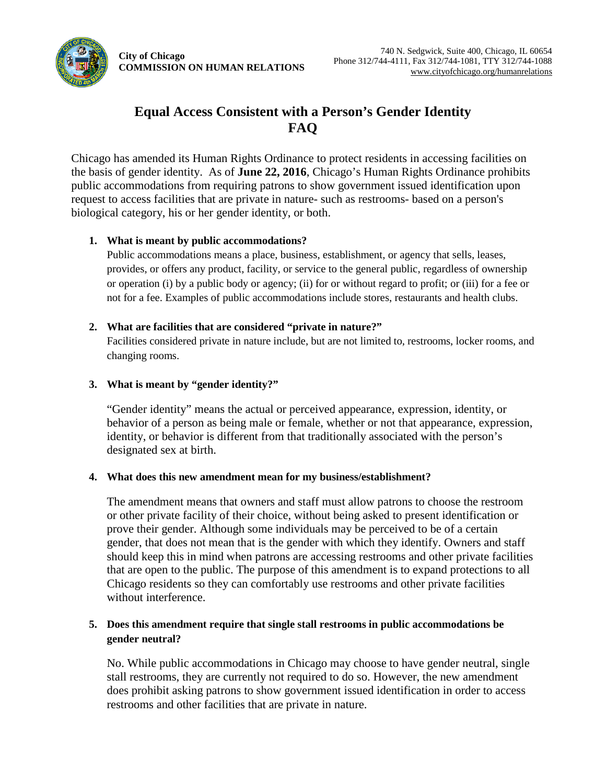**City of Chicago COMMISSION ON HUMAN RELATIONS** 



# **Equal Access Consistent with a Person's Gender Identity FAQ**

 request to access facilities that are private in nature- such as restrooms- based on a person's Chicago has amended its Human Rights Ordinance to protect residents in accessing facilities on the basis of gender identity. As of **June 22, 2016**, Chicago's Human Rights Ordinance prohibits public accommodations from requiring patrons to show government issued identification upon biological category, his or her gender identity, or both.

# **1. What is meant by public accommodations?**

 provides, or offers any product, facility, or service to the general public, regardless of ownership or operation (i) by a public body or agency; (ii) for or without regard to profit; or (iii) for a fee or Public accommodations means a place, business, establishment, or agency that sells, leases, not for a fee. Examples of public accommodations include stores, restaurants and health clubs.

# **2. What are facilities that are considered "private in nature?"**

 Facilities considered private in nature include, but are not limited to, restrooms, locker rooms, and changing rooms.

# **3. What is meant by "gender identity?"**

 identity, or behavior is different from that traditionally associated with the person's "Gender identity" means the actual or perceived appearance, expression, identity, or behavior of a person as being male or female, whether or not that appearance, expression, designated sex at birth.

## **4. What does this new amendment mean for my business/establishment?**

The amendment means that owners and staff must allow patrons to choose the restroom or other private facility of their choice, without being asked to present identification or prove their gender. Although some individuals may be perceived to be of a certain gender, that does not mean that is the gender with which they identify. Owners and staff should keep this in mind when patrons are accessing restrooms and other private facilities that are open to the public. The purpose of this amendment is to expand protections to all Chicago residents so they can comfortably use restrooms and other private facilities without interference.

# **5. Does this amendment require that single stall restrooms in public accommodations be gender neutral?**

 stall restrooms, they are currently not required to do so. However, the new amendment No. While public accommodations in Chicago may choose to have gender neutral, single does prohibit asking patrons to show government issued identification in order to access restrooms and other facilities that are private in nature.